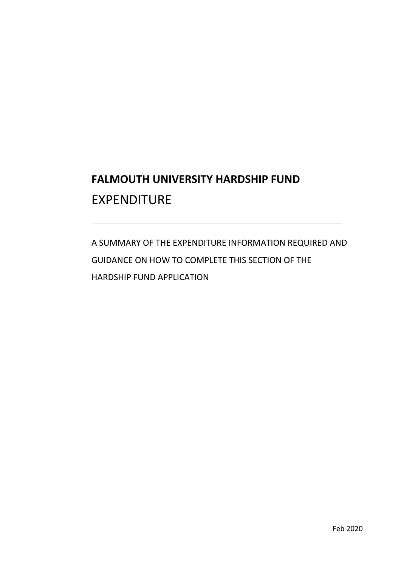# **FALMOUTH UNIVERSITY HARDSHIP FUND**  EXPENDITURE

 GUIDANCE ON HOW TO COMPLETE THIS SECTION OF THE A SUMMARY OF THE EXPENDITURE INFORMATION REQUIRED AND HARDSHIP FUND APPLICATION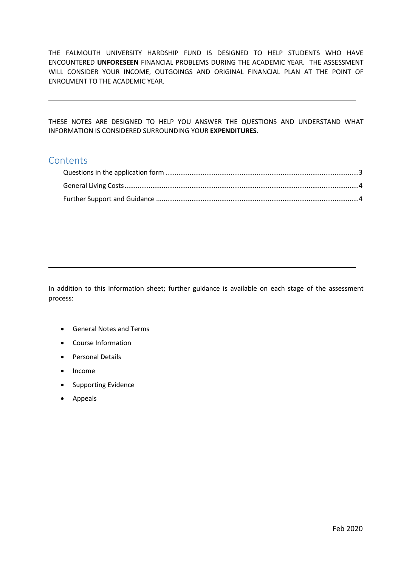THE FALMOUTH UNIVERSITY HARDSHIP FUND IS DESIGNED TO HELP STUDENTS WHO HAVE ENCOUNTERED **UNFORESEEN** FINANCIAL PROBLEMS DURING THE ACADEMIC YEAR. THE ASSESSMENT WILL CONSIDER YOUR INCOME, OUTGOINGS AND ORIGINAL FINANCIAL PLAN AT THE POINT OF ENROLMENT TO THE ACADEMIC YEAR.

 THESE NOTES ARE DESIGNED TO HELP YOU ANSWER THE QUESTIONS AND UNDERSTAND WHAT INFORMATION IS CONSIDERED SURROUNDING YOUR **EXPENDITURES**.

## **Contents**

 In addition to this information sheet; further guidance is available on each stage of the assessment process:

- General Notes and Terms
- Course Information
- Personal Details
- Income
- Supporting Evidence
- Appeals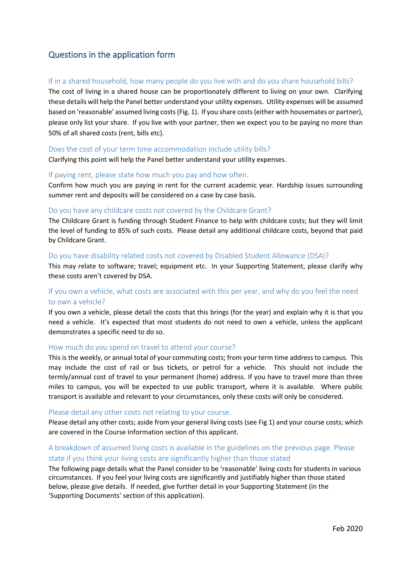# <span id="page-2-0"></span>Questions in the application form

## If in a shared household, how many people do you live with and do you share household bills?

 The cost of living in a shared house can be proportionately different to living on your own. Clarifying these details will help the Panel better understand your utility expenses. Utility expenses will be assumed please only list your share. If you live with your partner, then we expect you to be paying no more than based on 'reasonable' assumed living costs (Fig. 1). If you share costs (either with housemates or partner), 50% of all shared costs (rent, bills etc).

### Does the cost of your term time accommodation include utility bills?

Clarifying this point will help the Panel better understand your utility expenses.

### If paying rent, please state how much you pay and how often.

 Confirm how much you are paying in rent for the current academic year. Hardship issues surrounding summer rent and deposits will be considered on a case by case basis.

#### Do you have any childcare costs not covered by the Childcare Grant?

 The Childcare Grant is funding through Student Finance to help with childcare costs; but they will limit the level of funding to 85% of such costs. Please detail any additional childcare costs, beyond that paid by Childcare Grant.

#### Do you have disability related costs not covered by Disabled Student Allowance (DSA)?

 This may relate to software; travel; equipment etc. In your Supporting Statement, please clarify why these costs aren't covered by DSA.

## If you own a vehicle, what costs are associated with this per year, and why do you feel the need to own a vehicle?

 If you own a vehicle, please detail the costs that this brings (for the year) and explain why it is that you need a vehicle. It's expected that most students do not need to own a vehicle, unless the applicant demonstrates a specific need to do so.

#### How much do you spend on travel to attend your course?

 This is the weekly, or annual total of your commuting costs; from your term time address to campus. This may include the cost of rail or bus tickets, or petrol for a vehicle. This should not include the termly/annual cost of travel to your permanent (home) address. If you have to travel more than three miles to campus, you will be expected to use public transport, where it is available. Where public transport is available and relevant to your circumstances, only these costs will only be considered.

#### Please detail any other costs not relating to your course.

 Please detail any other costs; aside from your general living costs (see Fig 1) and your course costs; which are covered in the Course Information section of this applicant.

## A breakdown of assumed living costs is available in the guidelines on the previous page. Please state if you think your living costs are significantly higher than those stated

 The following page details what the Panel consider to be 'reasonable' living costs for students in various circumstances. If you feel your living costs are significantly and justifiably higher than those stated below, please give details. If needed, give further detail in your Supporting Statement (in the 'Supporting Documents' section of this application).